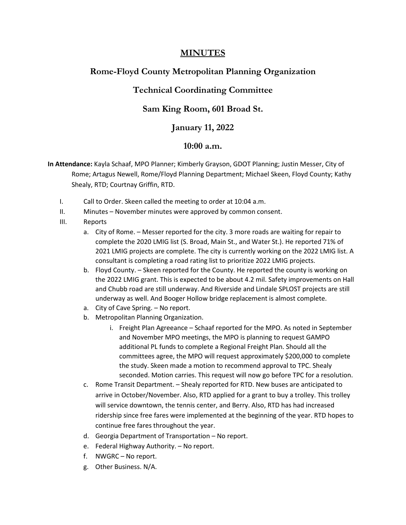### **MINUTES**

# **Rome-Floyd County Metropolitan Planning Organization**

### **Technical Coordinating Committee**

## **Sam King Room, 601 Broad St.**

#### **January 11, 2022**

#### **10:00 a.m.**

**In Attendance:** Kayla Schaaf, MPO Planner; Kimberly Grayson, GDOT Planning; Justin Messer, City of Rome; Artagus Newell, Rome/Floyd Planning Department; Michael Skeen, Floyd County; Kathy Shealy, RTD; Courtnay Griffin, RTD.

- I. Call to Order. Skeen called the meeting to order at 10:04 a.m.
- II. Minutes November minutes were approved by common consent.
- III. Reports
	- a. City of Rome. Messer reported for the city. 3 more roads are waiting for repair to complete the 2020 LMIG list (S. Broad, Main St., and Water St.). He reported 71% of 2021 LMIG projects are complete. The city is currently working on the 2022 LMIG list. A consultant is completing a road rating list to prioritize 2022 LMIG projects.
	- b. Floyd County. Skeen reported for the County. He reported the county is working on the 2022 LMIG grant. This is expected to be about 4.2 mil. Safety improvements on Hall and Chubb road are still underway. And Riverside and Lindale SPLOST projects are still underway as well. And Booger Hollow bridge replacement is almost complete.
	- a. City of Cave Spring. No report.
	- b. Metropolitan Planning Organization.
		- i. Freight Plan Agreeance Schaaf reported for the MPO. As noted in September and November MPO meetings, the MPO is planning to request GAMPO additional PL funds to complete a Regional Freight Plan. Should all the committees agree, the MPO will request approximately \$200,000 to complete the study. Skeen made a motion to recommend approval to TPC. Shealy seconded. Motion carries. This request will now go before TPC for a resolution.
	- c. Rome Transit Department. Shealy reported for RTD. New buses are anticipated to arrive in October/November. Also, RTD applied for a grant to buy a trolley. This trolley will service downtown, the tennis center, and Berry. Also, RTD has had increased ridership since free fares were implemented at the beginning of the year. RTD hopes to continue free fares throughout the year.
	- d. Georgia Department of Transportation No report.
	- e. Federal Highway Authority. No report.
	- f. NWGRC No report.
	- g. Other Business. N/A.